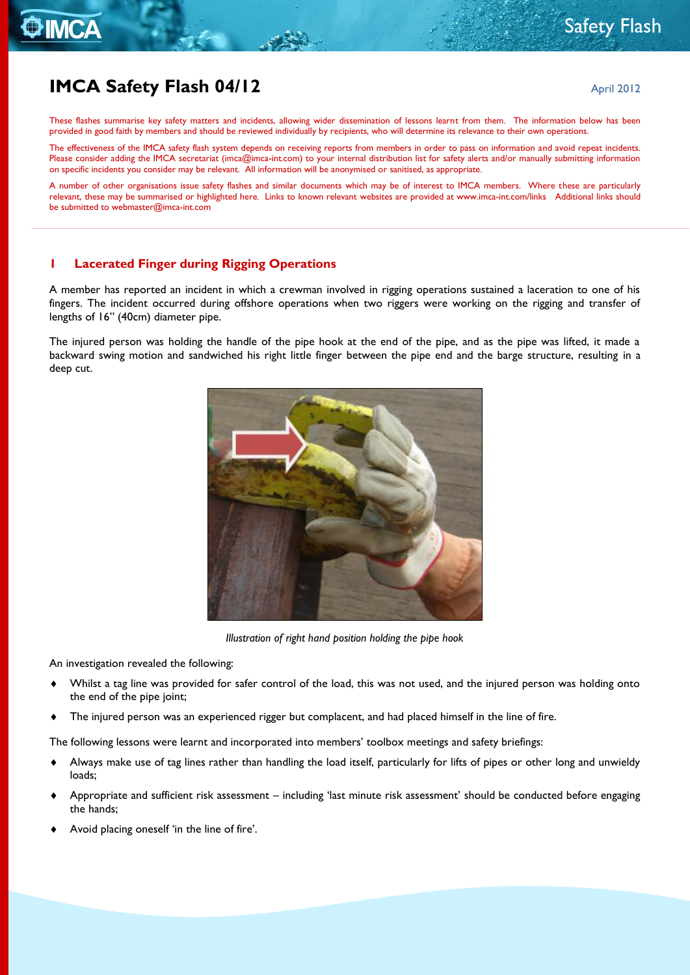# **IMCA Safety Flash 04/12** April 2012

**THE MCA** 

These flashes summarise key safety matters and incidents, allowing wider dissemination of lessons learnt from them. The information below has been provided in good faith by members and should be reviewed individually by recipients, who will determine its relevance to their own operations.

The effectiveness of the IMCA safety flash system depends on receiving reports from members in order to pass on information and avoid repeat incidents. Please consider adding the IMCA secretariat [\(imca@imca-int.com\)](mailto:imca@imca-int.com) to your internal distribution list for safety alerts and/or manually submitting information on specific incidents you consider may be relevant. All information will be anonymised or sanitised, as appropriate.

A number of other organisations issue safety flashes and similar documents which may be of interest to IMCA members. Where these are particularly relevant, these may be summarised or highlighted here. Links to known relevant websites are provided at [www.imca-int.com/links](http://www.imca-int.com/links) Additional links should be submitted t[o webmaster@imca-int.com](mailto:webmaster@imca-int.com)

#### **1 Lacerated Finger during Rigging Operations**

A member has reported an incident in which a crewman involved in rigging operations sustained a laceration to one of his fingers. The incident occurred during offshore operations when two riggers were working on the rigging and transfer of lengths of 16" (40cm) diameter pipe.

The injured person was holding the handle of the pipe hook at the end of the pipe, and as the pipe was lifted, it made a backward swing motion and sandwiched his right little finger between the pipe end and the barge structure, resulting in a deep cut.



*Illustration of right hand position holding the pipe hook*

An investigation revealed the following:

- Whilst a tag line was provided for safer control of the load, this was not used, and the injured person was holding onto the end of the pipe joint;
- The injured person was an experienced rigger but complacent, and had placed himself in the line of fire.

The following lessons were learnt and incorporated into members' toolbox meetings and safety briefings:

- Always make use of tag lines rather than handling the load itself, particularly for lifts of pipes or other long and unwieldy loads;
- Appropriate and sufficient risk assessment including 'last minute risk assessment' should be conducted before engaging the hands;
- Avoid placing oneself 'in the line of fire'.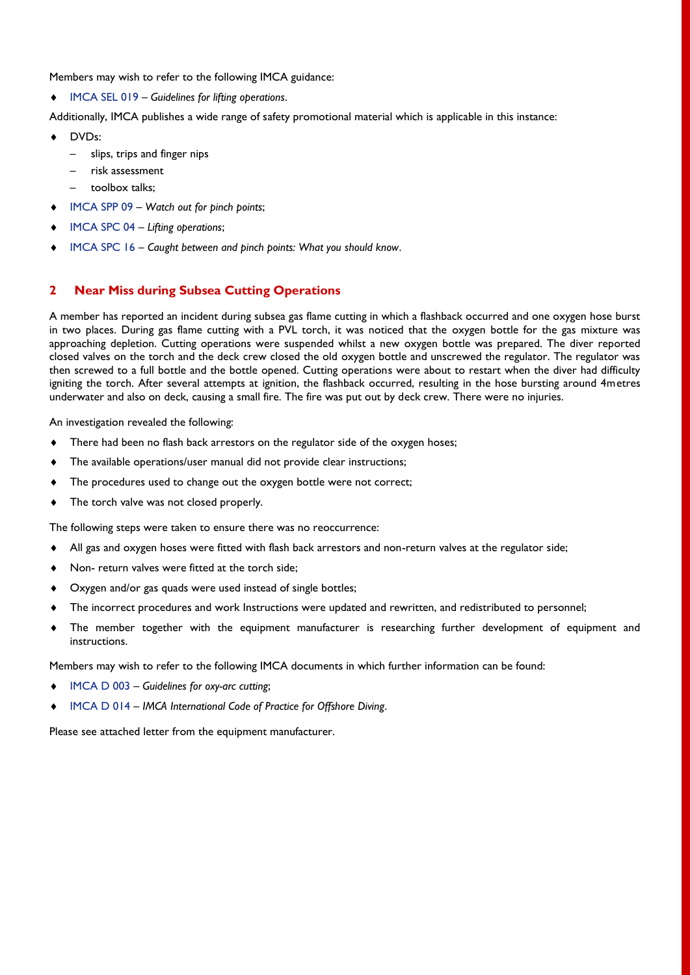Members may wish to refer to the following IMCA guidance:

[IMCA SEL 019](http://www.imca-int.com/documents/core/sel/docs/IMCASEL019.pdf) – *Guidelines for lifting operations*.

Additionally, IMCA publishes a wide range of safety promotional material which is applicable in this instance:

- DVDs:
	- [slips, trips and finger nips](http://www.imca-int.com/core/sel/publications/013.html)
	- [risk assessment](http://www.imca-int.com/core/sel/publications/021.html)
	- toolbox talks;
- [IMCA SPP 09](https://members.imca-int.com/documents/core/sel/safetypromo/IMCASPP09.pdf) *Watch out for pinch points*;
- [IMCA SPC 04](https://members.imca-int.com/documents/core/sel/safetypromo/IMCASPC04.pdf) *Lifting operations*;
- [IMCA SPC 16](https://members.imca-int.com/documents/core/sel/safetypromo/IMCASPC16.pdf) *Caught between and pinch points: What you should know*.

## **2 Near Miss during Subsea Cutting Operations**

A member has reported an incident during subsea gas flame cutting in which a flashback occurred and one oxygen hose burst in two places. During gas flame cutting with a PVL torch, it was noticed that the oxygen bottle for the gas mixture was approaching depletion. Cutting operations were suspended whilst a new oxygen bottle was prepared. The diver reported closed valves on the torch and the deck crew closed the old oxygen bottle and unscrewed the regulator. The regulator was then screwed to a full bottle and the bottle opened. Cutting operations were about to restart when the diver had difficulty igniting the torch. After several attempts at ignition, the flashback occurred, resulting in the hose bursting around 4metres underwater and also on deck, causing a small fire. The fire was put out by deck crew. There were no injuries.

An investigation revealed the following:

- $\bullet$  There had been no flash back arrestors on the regulator side of the oxygen hoses;
- The available operations/user manual did not provide clear instructions;
- $\bullet$  The procedures used to change out the oxygen bottle were not correct;
- The torch valve was not closed properly.

The following steps were taken to ensure there was no reoccurrence:

- All gas and oxygen hoses were fitted with flash back arrestors and non-return valves at the regulator side;
- Non- return valves were fitted at the torch side;
- Oxygen and/or gas quads were used instead of single bottles;
- The incorrect procedures and work Instructions were updated and rewritten, and redistributed to personnel;
- The member together with the equipment manufacturer is researching further development of equipment and instructions.

Members may wish to refer to the following IMCA documents in which further information can be found:

- [IMCA D 003](http://www.imca-int.com/documents/divisions/diving/docs/IMCAD003.pdf) *Guidelines for oxy-arc cutting*;
- [IMCA D 014](http://www.imca-int.com/documents/divisions/diving/docs/IMCAD014.pdf) *IMCA International Code of Practice for Offshore Diving*.

Please see attached letter from the equipment manufacturer.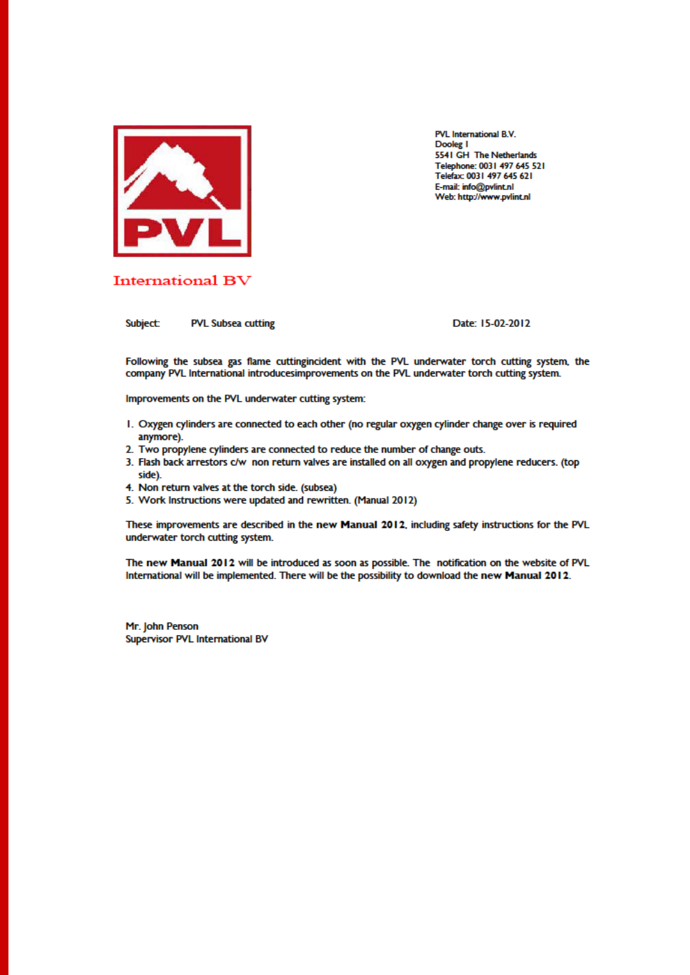

PVL International B.V. Dooleg I 5541 GH The Netherlands Telephone: 0031 497 645 521 Telefax: 0031 497 645 621 E-mail: info@pvlint.nl Web: http://www.pvlint.nl

### **International BV**

**Subject: PVL Subsea cutting**  Date: 15-02-2012

Following the subsea gas flame cuttingincident with the PVL underwater torch cutting system, the company PVL International introducesimprovements on the PVL underwater torch cutting system.

Improvements on the PVL underwater cutting system:

- 1. Oxygen cylinders are connected to each other (no regular oxygen cylinder change over is required anymore).
- 2. Two propylene cylinders are connected to reduce the number of change outs.
- 3. Flash back arrestors c/w non return valves are installed on all oxygen and propylene reducers. (top side).
- 4. Non return valves at the torch side. (subsea)
- 5. Work Instructions were updated and rewritten. (Manual 2012)

These improvements are described in the new Manual 2012, including safety instructions for the PVL underwater torch cutting system.

The new Manual 2012 will be introduced as soon as possible. The notification on the website of PVL International will be implemented. There will be the possibility to download the new Manual 2012.

Mr. John Penson Supervisor PVL International BV